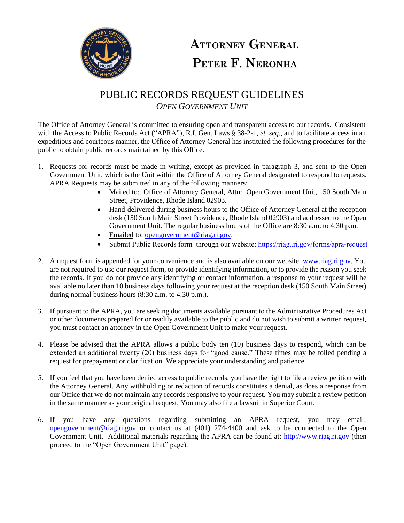

## **ATTORNEY GENERAL** PETER F. NERONHA

## PUBLIC RECORDS REQUEST GUIDELINES *OPEN GOVERNMENT UNIT*

The Office of Attorney General is committed to ensuring open and transparent access to our records. Consistent with the Access to Public Records Act ("APRA"), R.I. Gen. Laws § 38-2-1, *et. seq*., and to facilitate access in an expeditious and courteous manner, the Office of Attorney General has instituted the following procedures for the public to obtain public records maintained by this Office.

- 1. Requests for records must be made in writing, except as provided in paragraph 3, and sent to the Open Government Unit, which is the Unit within the Office of Attorney General designated to respond to requests. APRA Requests may be submitted in any of the following manners:
	- Mailed to: Office of Attorney General, Attn: Open Government Unit, 150 South Main Street, Providence, Rhode Island 02903.
	- Hand-delivered during business hours to the Office of Attorney General at the reception desk (150 South Main Street Providence, Rhode Island 02903) and addressed to the Open Government Unit. The regular business hours of the Office are 8:30 a.m. to 4:30 p.m.
	- Emailed to: opengovernment@riag.ri.gov.
	- Submit Public Records form through our website: [https://riag..ri.gov/forms/apra-request](https://riag.ecms.ri.gov/forms/apra-request)
- 2. A request form is appended for your convenience and is also available on our website: [www.riag.ri.gov.](http://www.riag.ri.gov/) You are not required to use our request form, to provide identifying information, or to provide the reason you seek the records. If you do not provide any identifying or contact information, a response to your request will be available no later than 10 business days following your request at the reception desk (150 South Main Street) during normal business hours (8:30 a.m. to 4:30 p.m.).
- 3. If pursuant to the APRA, you are seeking documents available pursuant to the Administrative Procedures Act or other documents prepared for or readily available to the public and do not wish to submit a written request, you must contact an attorney in the Open Government Unit to make your request.
- 4. Please be advised that the APRA allows a public body ten (10) business days to respond, which can be extended an additional twenty (20) business days for "good cause." These times may be tolled pending a request for prepayment or clarification. We appreciate your understanding and patience.
- 5. If you feel that you have been denied access to public records, you have the right to file a review petition with the Attorney General. Any withholding or redaction of records constitutes a denial, as does a response from our Office that we do not maintain any records responsive to your request. You may submit a review petition in the same manner as your original request. You may also file a lawsuit in Superior Court.
- 6. [If you have any quest](mailto:opengovernment@riag.ri.gov)ions regarding submitting an APRA request, you may email: opengovernment@riag.ri.gov or contact us at (401) 274-4400 and ask to be connected to the Open Government Unit. Additional materials regarding the APRA can be found at: [http://www.riag.ri.gov](http://www.riag.ri.gov/) (then proceed to the "Open Government Unit" page).